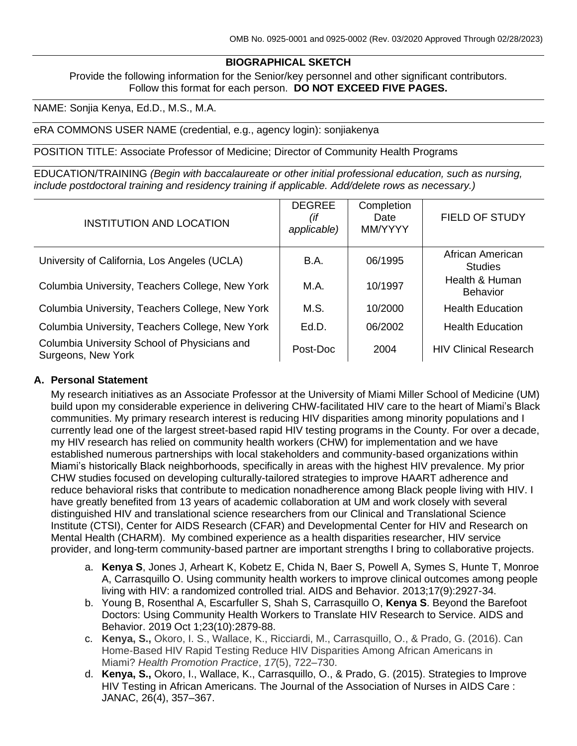### **BIOGRAPHICAL SKETCH**

Provide the following information for the Senior/key personnel and other significant contributors. Follow this format for each person. **DO NOT EXCEED FIVE PAGES.**

NAME: Sonjia Kenya, Ed.D., M.S., M.A.

eRA COMMONS USER NAME (credential, e.g., agency login): sonjiakenya

POSITION TITLE: Associate Professor of Medicine; Director of Community Health Programs

EDUCATION/TRAINING *(Begin with baccalaureate or other initial professional education, such as nursing, include postdoctoral training and residency training if applicable. Add/delete rows as necessary.)*

| <b>INSTITUTION AND LOCATION</b>                                    | <b>DEGREE</b><br>(if<br>applicable) | Completion<br>Date<br>MM/YYYY | <b>FIELD OF STUDY</b>              |
|--------------------------------------------------------------------|-------------------------------------|-------------------------------|------------------------------------|
| University of California, Los Angeles (UCLA)                       | <b>B.A.</b>                         | 06/1995                       | African American<br><b>Studies</b> |
| Columbia University, Teachers College, New York                    | M.A.                                | 10/1997                       | Health & Human<br><b>Behavior</b>  |
| Columbia University, Teachers College, New York                    | M.S.                                | 10/2000                       | <b>Health Education</b>            |
| Columbia University, Teachers College, New York                    | Ed.D.                               | 06/2002                       | <b>Health Education</b>            |
| Columbia University School of Physicians and<br>Surgeons, New York | Post-Doc                            | 2004                          | <b>HIV Clinical Research</b>       |

#### **A. Personal Statement**

My research initiatives as an Associate Professor at the University of Miami Miller School of Medicine (UM) build upon my considerable experience in delivering CHW-facilitated HIV care to the heart of Miami's Black communities. My primary research interest is reducing HIV disparities among minority populations and I currently lead one of the largest street-based rapid HIV testing programs in the County. For over a decade, my HIV research has relied on community health workers (CHW) for implementation and we have established numerous partnerships with local stakeholders and community-based organizations within Miami's historically Black neighborhoods, specifically in areas with the highest HIV prevalence. My prior CHW studies focused on developing culturally-tailored strategies to improve HAART adherence and reduce behavioral risks that contribute to medication nonadherence among Black people living with HIV. I have greatly benefited from 13 years of academic collaboration at UM and work closely with several distinguished HIV and translational science researchers from our Clinical and Translational Science Institute (CTSI), Center for AIDS Research (CFAR) and Developmental Center for HIV and Research on Mental Health (CHARM). My combined experience as a health disparities researcher, HIV service provider, and long-term community-based partner are important strengths I bring to collaborative projects.

- a. **Kenya S**, Jones J, Arheart K, Kobetz E, Chida N, Baer S, Powell A, Symes S, Hunte T, Monroe A, Carrasquillo O. Using community health workers to improve clinical outcomes among people living with HIV: a randomized controlled trial. AIDS and Behavior. 2013;17(9):2927-34.
- b. Young B, Rosenthal A, Escarfuller S, Shah S, Carrasquillo O, **Kenya S**. Beyond the Barefoot Doctors: Using Community Health Workers to Translate HIV Research to Service. AIDS and Behavior. 2019 Oct 1;23(10):2879-88.
- c. **Kenya, S.,** Okoro, I. S., Wallace, K., Ricciardi, M., Carrasquillo, O., & Prado, G. (2016). Can Home-Based HIV Rapid Testing Reduce HIV Disparities Among African Americans in Miami? *Health Promotion Practice*, *17*(5), 722–730.
- d. **Kenya, S.,** Okoro, I., Wallace, K., Carrasquillo, O., & Prado, G. (2015). Strategies to Improve HIV Testing in African Americans. The Journal of the Association of Nurses in AIDS Care : JANAC, 26(4), 357–367.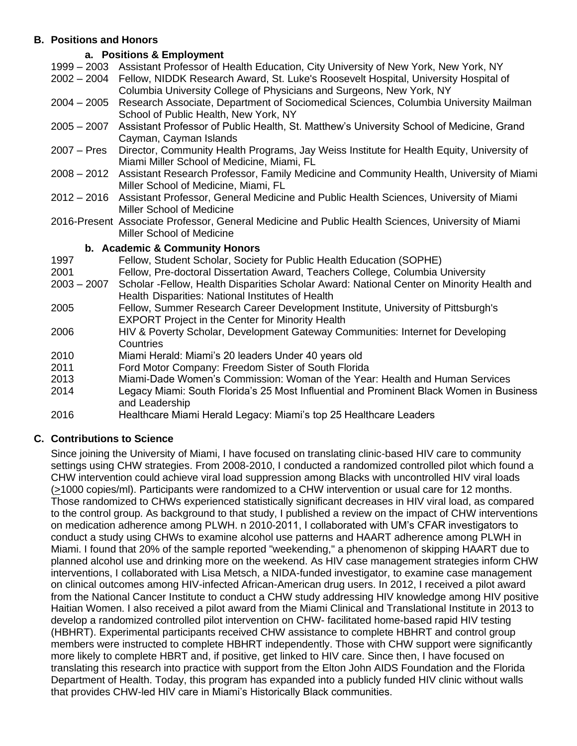## **B. Positions and Honors**

# **a. Positions & Employment**

- 1999 2003 Assistant Professor of Health Education, City University of New York, New York, NY
- 2002 2004 Fellow, NIDDK Research Award, St. Luke's Roosevelt Hospital, University Hospital of Columbia University College of Physicians and Surgeons, New York, NY
- 2004 2005 Research Associate, Department of Sociomedical Sciences, Columbia University Mailman School of Public Health, New York, NY
- 2005 2007 Assistant Professor of Public Health, St. Matthew's University School of Medicine, Grand Cayman, Cayman Islands
- 2007 Pres Director, Community Health Programs, Jay Weiss Institute for Health Equity, University of Miami Miller School of Medicine, Miami, FL
- 2008 2012 Assistant Research Professor, Family Medicine and Community Health, University of Miami Miller School of Medicine, Miami, FL
- 2012 2016 Assistant Professor, General Medicine and Public Health Sciences, University of Miami Miller School of Medicine
- 2016-Present Associate Professor, General Medicine and Public Health Sciences, University of Miami Miller School of Medicine

### **b. Academic & Community Honors**

- 1997 Fellow, Student Scholar, Society for Public Health Education (SOPHE)
- 2001 Fellow, Pre-doctoral Dissertation Award, Teachers College, Columbia University
- 2003 2007 Scholar -Fellow, Health Disparities Scholar Award: National Center on Minority Health and Health Disparities: National Institutes of Health
- 2005 Fellow, Summer Research Career Development Institute, University of Pittsburgh's EXPORT Project in the Center for Minority Health
- 2006 HIV & Poverty Scholar, Development Gateway Communities: Internet for Developing **Countries**
- 2010 Miami Herald: Miami's 20 leaders Under 40 years old
- 2011 Ford Motor Company: Freedom Sister of South Florida
- 2013 Miami-Dade Women's Commission: Woman of the Year: Health and Human Services
- 2014 Legacy Miami: South Florida's 25 Most Influential and Prominent Black Women in Business and Leadership
- 2016 Healthcare Miami Herald Legacy: Miami's top 25 Healthcare Leaders

# **C. Contributions to Science**

Since joining the University of Miami, I have focused on translating clinic-based HIV care to community settings using CHW strategies. From 2008-2010, I conducted a randomized controlled pilot which found a CHW intervention could achieve viral load suppression among Blacks with uncontrolled HIV viral loads (>1000 copies/ml). Participants were randomized to a CHW intervention or usual care for 12 months. Those randomized to CHWs experienced statistically significant decreases in HIV viral load, as compared to the control group. As background to that study, I published a review on the impact of CHW interventions on medication adherence among PLWH. n 2010-2011, I collaborated with UM's CFAR investigators to conduct a study using CHWs to examine alcohol use patterns and HAART adherence among PLWH in Miami. I found that 20% of the sample reported "weekending," a phenomenon of skipping HAART due to planned alcohol use and drinking more on the weekend. As HIV case management strategies inform CHW interventions, I collaborated with Lisa Metsch, a NIDA-funded investigator, to examine case management on clinical outcomes among HIV-infected African-American drug users. In 2012, I received a pilot award from the National Cancer Institute to conduct a CHW study addressing HIV knowledge among HIV positive Haitian Women. I also received a pilot award from the Miami Clinical and Translational Institute in 2013 to develop a randomized controlled pilot intervention on CHW- facilitated home-based rapid HIV testing (HBHRT). Experimental participants received CHW assistance to complete HBHRT and control group members were instructed to complete HBHRT independently. Those with CHW support were significantly more likely to complete HBRT and, if positive, get linked to HIV care. Since then, I have focused on translating this research into practice with support from the Elton John AIDS Foundation and the Florida Department of Health. Today, this program has expanded into a publicly funded HIV clinic without walls that provides CHW-led HIV care in Miami's Historically Black communities.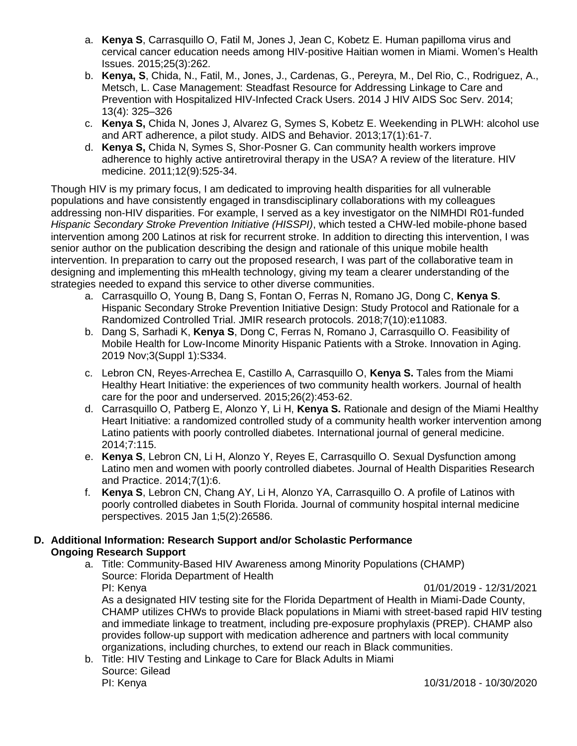- a. **Kenya S**, Carrasquillo O, Fatil M, Jones J, Jean C, Kobetz E. Human papilloma virus and cervical cancer education needs among HIV-positive Haitian women in Miami. Women's Health Issues. 2015;25(3):262.
- b. **Kenya, S**, Chida, N., Fatil, M., Jones, J., Cardenas, G., Pereyra, M., Del Rio, C., Rodriguez, A., Metsch, L. Case Management: Steadfast Resource for Addressing Linkage to Care and Prevention with Hospitalized HIV-Infected Crack Users. 2014 J HIV AIDS Soc Serv. 2014; 13(4): 325–326
- c. **Kenya S,** Chida N, Jones J, Alvarez G, Symes S, Kobetz E. Weekending in PLWH: alcohol use and ART adherence, a pilot study. AIDS and Behavior. 2013;17(1):61-7.
- d. **Kenya S,** Chida N, Symes S, Shor‐Posner G. Can community health workers improve adherence to highly active antiretroviral therapy in the USA? A review of the literature. HIV medicine. 2011;12(9):525-34.

Though HIV is my primary focus, I am dedicated to improving health disparities for all vulnerable populations and have consistently engaged in transdisciplinary collaborations with my colleagues addressing non-HIV disparities. For example, I served as a key investigator on the NIMHDI R01-funded *Hispanic Secondary Stroke Prevention Initiative (HISSPI)*, which tested a CHW-led mobile-phone based intervention among 200 Latinos at risk for recurrent stroke. In addition to directing this intervention, I was senior author on the publication describing the design and rationale of this unique mobile health intervention. In preparation to carry out the proposed research, I was part of the collaborative team in designing and implementing this mHealth technology, giving my team a clearer understanding of the strategies needed to expand this service to other diverse communities.

- a. Carrasquillo O, Young B, Dang S, Fontan O, Ferras N, Romano JG, Dong C, **Kenya S**. Hispanic Secondary Stroke Prevention Initiative Design: Study Protocol and Rationale for a Randomized Controlled Trial. JMIR research protocols. 2018;7(10):e11083.
- b. Dang S, Sarhadi K, **Kenya S**, Dong C, Ferras N, Romano J, Carrasquillo O. Feasibility of Mobile Health for Low-Income Minority Hispanic Patients with a Stroke. Innovation in Aging. 2019 Nov;3(Suppl 1):S334.
- c. Lebron CN, Reyes-Arrechea E, Castillo A, Carrasquillo O, **Kenya S.** Tales from the Miami Healthy Heart Initiative: the experiences of two community health workers. Journal of health care for the poor and underserved. 2015;26(2):453-62.
- d. Carrasquillo O, Patberg E, Alonzo Y, Li H, **Kenya S.** Rationale and design of the Miami Healthy Heart Initiative: a randomized controlled study of a community health worker intervention among Latino patients with poorly controlled diabetes. International journal of general medicine. 2014;7:115.
- e. **Kenya S**, Lebron CN, Li H, Alonzo Y, Reyes E, Carrasquillo O. Sexual Dysfunction among Latino men and women with poorly controlled diabetes. Journal of Health Disparities Research and Practice. 2014;7(1):6.
- f. **Kenya S**, Lebron CN, Chang AY, Li H, Alonzo YA, Carrasquillo O. A profile of Latinos with poorly controlled diabetes in South Florida. Journal of community hospital internal medicine perspectives. 2015 Jan 1;5(2):26586.

## **D. Additional Information: Research Support and/or Scholastic Performance Ongoing Research Support**

a. Title: Community-Based HIV Awareness among Minority Populations (CHAMP) Source: Florida Department of Health PI: Kenya 01/01/2019 - 12/31/2021 As a designated HIV testing site for the Florida Department of Health in Miami-Dade County, CHAMP utilizes CHWs to provide Black populations in Miami with street-based rapid HIV testing

and immediate linkage to treatment, including pre-exposure prophylaxis (PREP). CHAMP also provides follow-up support with medication adherence and partners with local community organizations, including churches, to extend our reach in Black communities.

b. Title: HIV Testing and Linkage to Care for Black Adults in Miami Source: Gilead PI: Kenya 10/31/2018 - 10/30/2020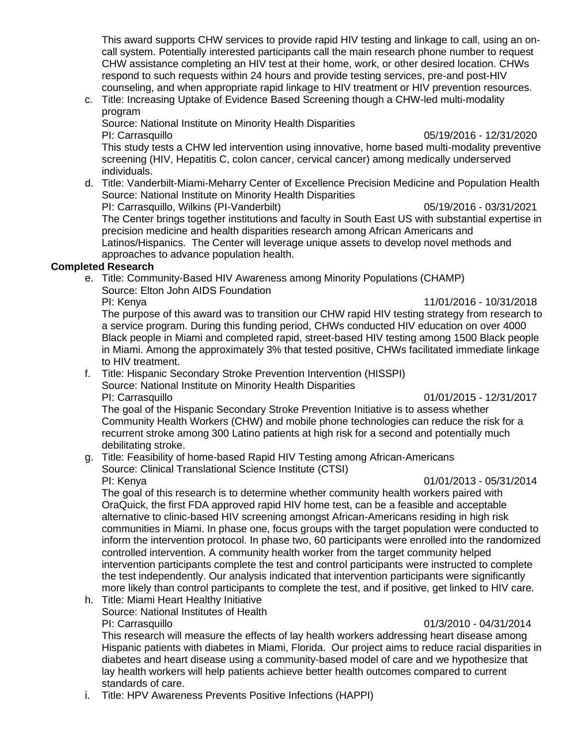This award supports CHW services to provide rapid HIV testing and linkage to call, using an oncall system. Potentially interested participants call the main research phone number to request CHW assistance completing an HIV test at their home, work, or other desired location. CHWs respond to such requests within 24 hours and provide testing services, pre-and post-HIV counseling, and when appropriate rapid linkage to HIV treatment or HIV prevention resources.

c. Title: Increasing Uptake of Evidence Based Screening though a CHW-led multi-modality program

Source: National Institute on Minority Health Disparities PI: Carrasquillo 05/19/2016 - 12/31/2020 This study tests a CHW led intervention using innovative, home based multi-modality preventive screening (HIV, Hepatitis C, colon cancer, cervical cancer) among medically underserved individuals.

d. Title: Vanderbilt-Miami-Meharry Center of Excellence Precision Medicine and Population Health Source: National Institute on Minority Health Disparities PI: Carrasquillo, Wilkins (PI-Vanderbilt) 05/19/2016 - 03/31/2021

The Center brings together institutions and faculty in South East US with substantial expertise in precision medicine and health disparities research among African Americans and Latinos/Hispanics. The Center will leverage unique assets to develop novel methods and approaches to advance population health.

# **Completed Research**

e. Title: Community-Based HIV Awareness among Minority Populations (CHAMP) Source: Elton John AIDS Foundation

PI: Kenya 11/01/2016 - 10/31/2018

The purpose of this award was to transition our CHW rapid HIV testing strategy from research to a service program. During this funding period, CHWs conducted HIV education on over 4000 Black people in Miami and completed rapid, street-based HIV testing among 1500 Black people in Miami. Among the approximately 3% that tested positive, CHWs facilitated immediate linkage to HIV treatment.

- f. Title: Hispanic Secondary Stroke Prevention Intervention (HISSPI)
	- Source: National Institute on Minority Health Disparities PI: Carrasquillo 01/01/2015 - 12/31/2017

The goal of the Hispanic Secondary Stroke Prevention Initiative is to assess whether Community Health Workers (CHW) and mobile phone technologies can reduce the risk for a recurrent stroke among 300 Latino patients at high risk for a second and potentially much debilitating stroke.

- g. Title: Feasibility of home-based Rapid HIV Testing among African-Americans Source: Clinical Translational Science Institute (CTSI) PI: Kenya 01/01/2013 - 05/31/2014
	-

The goal of this research is to determine whether community health workers paired with OraQuick, the first FDA approved rapid HIV home test, can be a feasible and acceptable alternative to clinic-based HIV screening amongst African-Americans residing in high risk communities in Miami. In phase one, focus groups with the target population were conducted to inform the intervention protocol. In phase two, 60 participants were enrolled into the randomized controlled intervention. A community health worker from the target community helped intervention participants complete the test and control participants were instructed to complete the test independently. Our analysis indicated that intervention participants were significantly more likely than control participants to complete the test, and if positive, get linked to HIV care.

h. Title: Miami Heart Healthy Initiative Source: National Institutes of Health

### PI: Carrasquillo 01/3/2010 - 04/31/2014

This research will measure the effects of lay health workers addressing heart disease among Hispanic patients with diabetes in Miami, Florida. Our project aims to reduce racial disparities in diabetes and heart disease using a community-based model of care and we hypothesize that lay health workers will help patients achieve better health outcomes compared to current standards of care.

i. Title: HPV Awareness Prevents Positive Infections (HAPPI)